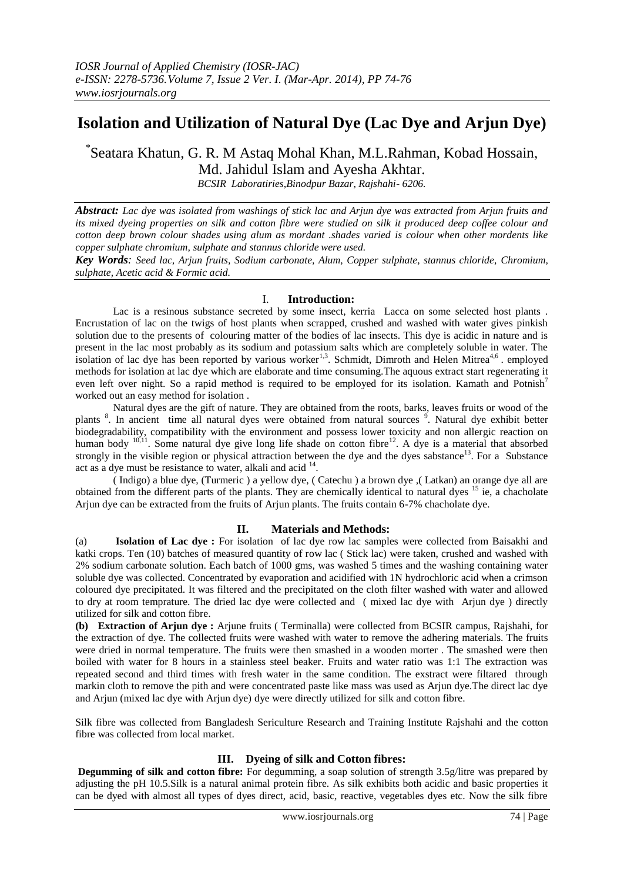# **Isolation and Utilization of Natural Dye (Lac Dye and Arjun Dye)**

\* Seatara Khatun, G. R. M Astaq Mohal Khan, M.L.Rahman, Kobad Hossain, Md. Jahidul Islam and Ayesha Akhtar.

*BCSIR Laboratiries,Binodpur Bazar, Rajshahi- 6206.*

*Abstract: Lac dye was isolated from washings of stick lac and Arjun dye was extracted from Arjun fruits and its mixed dyeing properties on silk and cotton fibre were studied on silk it produced deep coffee colour and cotton deep brown colour shades using alum as mordant .shades varied is colour when other mordents like copper sulphate chromium, sulphate and stannus chloride were used.*

*Key Words: Seed lac, Arjun fruits, Sodium carbonate, Alum, Copper sulphate, stannus chloride, Chromium, sulphate, Acetic acid & Formic acid.* 

## I. **Introduction:**

Lac is a resinous substance secreted by some insect, kerria Lacca on some selected host plants . Encrustation of lac on the twigs of host plants when scrapped, crushed and washed with water gives pinkish solution due to the presents of colouring matter of the bodies of lac insects. This dye is acidic in nature and is present in the lac most probably as its sodium and potassium salts which are completely soluble in water. The isolation of lac dye has been reported by various worker<sup>1,3</sup>. Schmidt, Dimroth and Helen Mitrea<sup>4,6</sup> employed methods for isolation at lac dye which are elaborate and time consuming.The aquous extract start regenerating it even left over night. So a rapid method is required to be employed for its isolation. Kamath and Potnish<sup>7</sup> worked out an easy method for isolation .

Natural dyes are the gift of nature. They are obtained from the roots, barks, leaves fruits or wood of the plants<sup>8</sup>. In ancient time all natural dyes were obtained from natural sources<sup>9</sup>. Natural dye exhibit better biodegradability, compatibility with the environment and possess lower toxicity and non allergic reaction on human body <sup>10,11</sup>. Some natural dye give long life shade on cotton fibre<sup>12</sup>. A dye is a material that absorbed strongly in the visible region or physical attraction between the dye and the dyes sabstance<sup>13</sup>. For a Substance act as a dye must be resistance to water, alkali and acid  $14$ .

( Indigo) a blue dye, (Turmeric ) a yellow dye, ( Catechu ) a brown dye ,( Latkan) an orange dye all are obtained from the different parts of the plants. They are chemically identical to natural dyes <sup>15</sup> ie, a chacholate Arjun dye can be extracted from the fruits of Arjun plants. The fruits contain 6-7% chacholate dye.

## **II. Materials and Methods:**

(a) **Isolation of Lac dye :** For isolation of lac dye row lac samples were collected from Baisakhi and katki crops. Ten (10) batches of measured quantity of row lac ( Stick lac) were taken, crushed and washed with 2% sodium carbonate solution. Each batch of 1000 gms, was washed 5 times and the washing containing water soluble dye was collected. Concentrated by evaporation and acidified with 1N hydrochloric acid when a crimson coloured dye precipitated. It was filtered and the precipitated on the cloth filter washed with water and allowed to dry at room temprature. The dried lac dye were collected and ( mixed lac dye with Arjun dye ) directly utilized for silk and cotton fibre.

**(b) Extraction of Arjun dye :** Arjune fruits ( Terminalla) were collected from BCSIR campus, Rajshahi, for the extraction of dye. The collected fruits were washed with water to remove the adhering materials. The fruits were dried in normal temperature. The fruits were then smashed in a wooden morter . The smashed were then boiled with water for 8 hours in a stainless steel beaker. Fruits and water ratio was 1:1 The extraction was repeated second and third times with fresh water in the same condition. The exstract were filtared through markin cloth to remove the pith and were concentrated paste like mass was used as Arjun dye.The direct lac dye and Arjun (mixed lac dye with Arjun dye) dye were directly utilized for silk and cotton fibre.

Silk fibre was collected from Bangladesh Sericulture Research and Training Institute Rajshahi and the cotton fibre was collected from local market.

## **III. Dyeing of silk and Cotton fibres:**

**Degumming of silk and cotton fibre:** For degumming, a soap solution of strength 3.5g/litre was prepared by adjusting the pH 10.5.Silk is a natural animal protein fibre. As silk exhibits both acidic and basic properties it can be dyed with almost all types of dyes direct, acid, basic, reactive, vegetables dyes etc. Now the silk fibre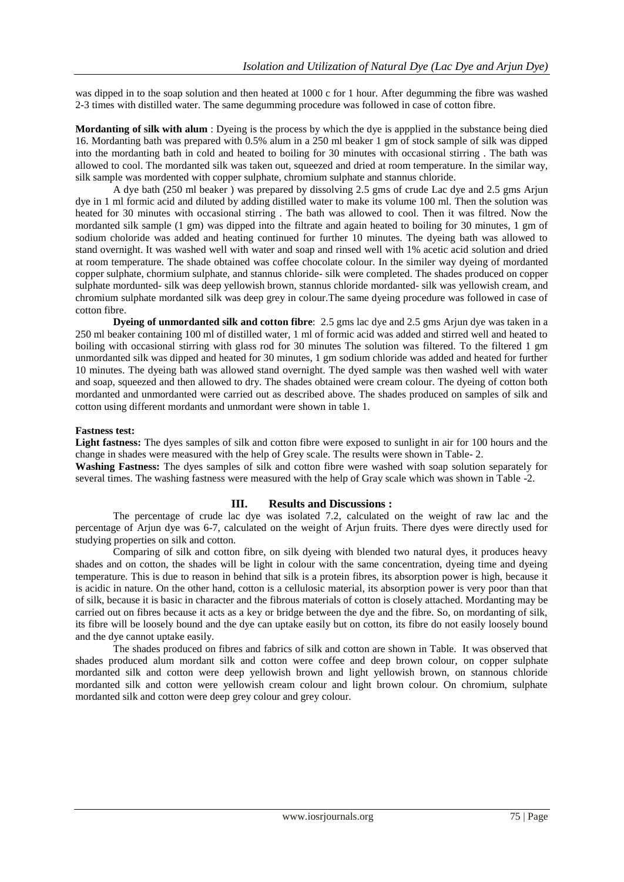was dipped in to the soap solution and then heated at 1000 c for 1 hour. After degumming the fibre was washed 2-3 times with distilled water. The same degumming procedure was followed in case of cotton fibre.

**Mordanting of silk with alum** : Dyeing is the process by which the dye is appplied in the substance being died 16. Mordanting bath was prepared with 0.5% alum in a 250 ml beaker 1 gm of stock sample of silk was dipped into the mordanting bath in cold and heated to boiling for 30 minutes with occasional stirring . The bath was allowed to cool. The mordanted silk was taken out, squeezed and dried at room temperature. In the similar way, silk sample was mordented with copper sulphate, chromium sulphate and stannus chloride.

A dye bath (250 ml beaker ) was prepared by dissolving 2.5 gms of crude Lac dye and 2.5 gms Arjun dye in 1 ml formic acid and diluted by adding distilled water to make its volume 100 ml. Then the solution was heated for 30 minutes with occasional stirring . The bath was allowed to cool. Then it was filtred. Now the mordanted silk sample (1 gm) was dipped into the filtrate and again heated to boiling for 30 minutes, 1 gm of sodium choloride was added and heating continued for further 10 minutes. The dyeing bath was allowed to stand overnight. It was washed well with water and soap and rinsed well with 1% acetic acid solution and dried at room temperature. The shade obtained was coffee chocolate colour. In the similer way dyeing of mordanted copper sulphate, chormium sulphate, and stannus chloride- silk were completed. The shades produced on copper sulphate mordunted- silk was deep yellowish brown, stannus chloride mordanted- silk was yellowish cream, and chromium sulphate mordanted silk was deep grey in colour.The same dyeing procedure was followed in case of cotton fibre.

 **Dyeing of unmordanted silk and cotton fibre**: 2.5 gms lac dye and 2.5 gms Arjun dye was taken in a 250 ml beaker containing 100 ml of distilled water, 1 ml of formic acid was added and stirred well and heated to boiling with occasional stirring with glass rod for 30 minutes The solution was filtered. To the filtered 1 gm unmordanted silk was dipped and heated for 30 minutes, 1 gm sodium chloride was added and heated for further 10 minutes. The dyeing bath was allowed stand overnight. The dyed sample was then washed well with water and soap, squeezed and then allowed to dry. The shades obtained were cream colour. The dyeing of cotton both mordanted and unmordanted were carried out as described above. The shades produced on samples of silk and cotton using different mordants and unmordant were shown in table 1.

## **Fastness test:**

**Light fastness:** The dyes samples of silk and cotton fibre were exposed to sunlight in air for 100 hours and the change in shades were measured with the help of Grey scale. The results were shown in Table- 2.

**Washing Fastness:** The dyes samples of silk and cotton fibre were washed with soap solution separately for several times. The washing fastness were measured with the help of Gray scale which was shown in Table -2.

## **III. Results and Discussions :**

The percentage of crude lac dye was isolated 7.2, calculated on the weight of raw lac and the percentage of Arjun dye was 6-7, calculated on the weight of Arjun fruits. There dyes were directly used for studying properties on silk and cotton.

Comparing of silk and cotton fibre, on silk dyeing with blended two natural dyes, it produces heavy shades and on cotton, the shades will be light in colour with the same concentration, dyeing time and dyeing temperature. This is due to reason in behind that silk is a protein fibres, its absorption power is high, because it is acidic in nature. On the other hand, cotton is a cellulosic material, its absorption power is very poor than that of silk, because it is basic in character and the fibrous materials of cotton is closely attached. Mordanting may be carried out on fibres because it acts as a key or bridge between the dye and the fibre. So, on mordanting of silk, its fibre will be loosely bound and the dye can uptake easily but on cotton, its fibre do not easily loosely bound and the dye cannot uptake easily.

The shades produced on fibres and fabrics of silk and cotton are shown in Table. It was observed that shades produced alum mordant silk and cotton were coffee and deep brown colour, on copper sulphate mordanted silk and cotton were deep yellowish brown and light yellowish brown, on stannous chloride mordanted silk and cotton were yellowish cream colour and light brown colour. On chromium, sulphate mordanted silk and cotton were deep grey colour and grey colour.